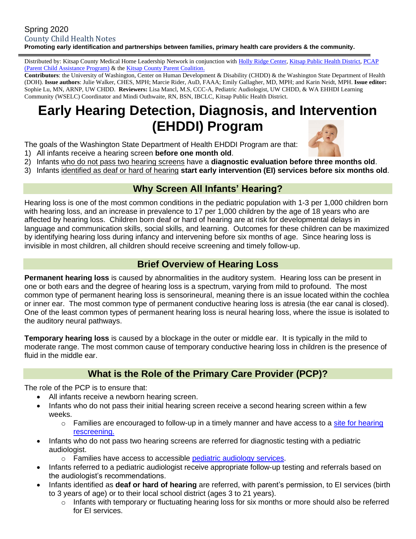#### Spring 2020 County Child Health Notes **Promoting early identification and partnerships between families, primary health care providers & the community.**

Distributed by: Kitsap County Medical Home Leadership Network in conjunction with [Holly Ridge](https://hollyridge.org/infant-toddler-program-overview/) Center, [Kitsap Public Health District,](http://www.kitsappublichealth.org/communityHealth/CSHCN.php) [PCAP](http://agapekitsap.org/pcap/2616531)  [\(Parent Child Assistance Program\)](http://agapekitsap.org/pcap/2616531) & the [Kitsap County Parent Coalition.](http://www.kitsapcountyparentcoalition.com/index.html)

**Contributors**: the University of Washington, Center on Human Development & Disability (CHDD) & the Washington State Department of Health (DOH). **Issue authors**: Julie Walker, CHES, MPH; Marcie Rider, AuD, FAAA; Emily Gallagher, MD, MPH; and Karin Neidt, MPH. **Issue editor:** Sophie Lu, MN, ARNP, UW CHDD. **Reviewers:** Lisa Mancl, M.S, CCC-A, Pediatric Audiologist, UW CHDD, & WA EHHDI Learning Community (WSELC) Coordinator and Mindi Outhwaite, RN, BSN, IBCLC, Kitsap Public Health District.

# **Early Hearing Detection, Diagnosis, and Intervention (EHDDI) Program**

The goals of the Washington State Department of Health EHDDI Program are that:

- 1) All infants receive a hearing screen **before one month old**.
- 2) Infants who do not pass two hearing screens have a **diagnostic evaluation before three months old**.
- 3) Infants identified as deaf or hard of hearing **start early intervention (EI) services before six months old**.

# **Why Screen All Infants' Hearing?**

Hearing loss is one of the most common conditions in the pediatric population with 1-3 per 1,000 children born with hearing loss, and an increase in prevalence to 17 per 1,000 children by the age of 18 years who are affected by hearing loss. Children born deaf or hard of hearing are at risk for developmental delays in language and communication skills, social skills, and learning. Outcomes for these children can be maximized by identifying hearing loss during infancy and intervening before six months of age. Since hearing loss is invisible in most children, all children should receive screening and timely follow-up.

# **Brief Overview of Hearing Loss**

**Permanent hearing loss** is caused by abnormalities in the auditory system. Hearing loss can be present in one or both ears and the degree of hearing loss is a spectrum, varying from mild to profound. The most common type of permanent hearing loss is sensorineural, meaning there is an issue located within the cochlea or inner ear. The most common type of permanent conductive hearing loss is atresia (the ear canal is closed). One of the least common types of permanent hearing loss is neural hearing loss, where the issue is isolated to the auditory neural pathways.

**Temporary hearing loss** is caused by a blockage in the outer or middle ear. It is typically in the mild to moderate range. The most common cause of temporary conductive hearing loss in children is the presence of fluid in the middle ear.

### **What is the Role of the Primary Care Provider (PCP)?**

The role of the PCP is to ensure that:

- All infants receive a newborn hearing screen.
- Infants who do not pass their initial hearing screen receive a second hearing screen within a few weeks.
	- o Families are encouraged to follow-up in a timely manner and have access to a site for hearing [rescreening.](http://www.doh.wa.gov/hearingscreening)
- Infants who do not pass two hearing screens are referred for diagnostic testing with a pediatric audiologist.
	- o Families have access to accessible [pediatric audiology services.](http://www.doh.wa.gov/infantaudiology)
- Infants referred to a pediatric audiologist receive appropriate follow-up testing and referrals based on the audiologist's recommendations.
- Infants identified as **deaf or hard of hearing** are referred, with parent's permission, to EI services (birth to 3 years of age) or to their local school district (ages 3 to 21 years).
	- $\circ$  Infants with temporary or fluctuating hearing loss for six months or more should also be referred for EI services.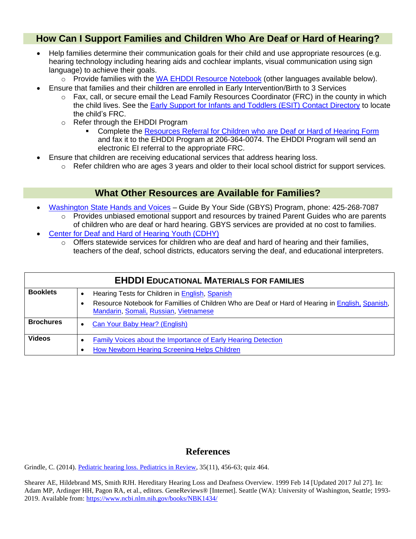### **How Can I Support Families and Children Who Are Deaf or Hard of Hearing?**

- Help families determine their communication goals for their child and use appropriate resources (e.g. hearing technology including hearing aids and cochlear implants, visual communication using sign language) to achieve their goals.
	- o Provide families with the [WA EHDDI Resource Notebook](https://www.doh.wa.gov/Portals/1/Documents/8330/344-017-EHDDInotebk-en-L.pdf) (other languages available below).
- Ensure that families and their children are enrolled in Early Intervention/Birth to 3 Services
	- $\circ$  Fax, call, or secure email the Lead Family Resources Coordinator (FRC) in the county in which the child lives. See the [Early Support for Infants and Toddlers \(ESIT\) Contact Directory](https://www.dcyf.wa.gov/sites/default/files/pdf/ESITContactsDirectory.pdf) to locate the child's FRC.
	- o Refer through the EHDDI Program
		- **Complete the [Resources Referral for Children who are Deaf or Hard of Hearing Form](https://www.doh.wa.gov/Portals/1/Documents/Pubs/344-073-ResourceReferralFormChildrenDeafHardofHearing.docx)** and fax it to the EHDDI Program at 206-364-0074. The EHDDI Program will send an electronic EI referral to the appropriate FRC.
- Ensure that children are receiving educational services that address hearing loss.
	- $\circ$  Refer children who are ages 3 years and older to their local school district for support services.

#### **What Other Resources are Available for Families?**

- [Washington State Hands and Voices](https://wahandsandvoices.org/) Guide By Your Side (GBYS) Program, phone: 425-268-7087
	- o Provides unbiased emotional support and resources by trained Parent Guides who are parents of children who are deaf or hard hearing. GBYS services are provided at no cost to families.
- [Center for Deaf and Hard of Hearing Youth \(CDHY\)](https://www.cdhy.wa.gov/)
	- Offers statewide services for children who are deaf and hard of hearing and their families, teachers of the deaf, school districts, educators serving the deaf, and educational interpreters.

| <b>EHDDI EDUCATIONAL MATERIALS FOR FAMILIES</b> |  |                                                                                                                                                                                             |  |  |  |  |
|-------------------------------------------------|--|---------------------------------------------------------------------------------------------------------------------------------------------------------------------------------------------|--|--|--|--|
| <b>Booklets</b>                                 |  | Hearing Tests for Children in English, Spanish<br>Resource Notebook for Famillies of Children Who are Deaf or Hard of Hearing in English, Spanish,<br>Mandarin, Somali, Russian, Vietnamese |  |  |  |  |
| <b>Brochures</b>                                |  | Can Your Baby Hear? (English)                                                                                                                                                               |  |  |  |  |
| <b>Videos</b>                                   |  | Family Voices about the Importance of Early Hearing Detection<br>How Newborn Hearing Screening Helps Children                                                                               |  |  |  |  |

#### **References**

Grindle, C. (2014). [Pediatric hearing loss. Pediatrics in Review,](https://pedsinreview.aappublications.org/content/35/11/456) 35(11), 456-63; quiz 464.

Shearer AE, Hildebrand MS, Smith RJH. Hereditary Hearing Loss and Deafness Overview. 1999 Feb 14 [Updated 2017 Jul 27]. In: Adam MP, Ardinger HH, Pagon RA, et al., editors. GeneReviews® [Internet]. Seattle (WA): University of Washington, Seattle; 1993- 2019. Available from:<https://www.ncbi.nlm.nih.gov/books/NBK1434/>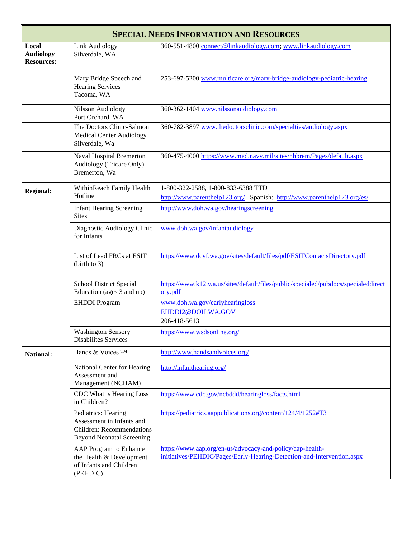| <b>SPECIAL NEEDS INFORMATION AND RESOURCES</b> |                                                                                                                          |                                                                                                                                     |  |  |  |  |  |  |
|------------------------------------------------|--------------------------------------------------------------------------------------------------------------------------|-------------------------------------------------------------------------------------------------------------------------------------|--|--|--|--|--|--|
| Local<br><b>Audiology</b><br><b>Resources:</b> | <b>Link Audiology</b><br>Silverdale, WA                                                                                  | 360-551-4800 connect@linkaudiology.com; www.linkaudiology.com                                                                       |  |  |  |  |  |  |
|                                                | Mary Bridge Speech and<br><b>Hearing Services</b><br>Tacoma, WA                                                          | 253-697-5200 www.multicare.org/mary-bridge-audiology-pediatric-hearing                                                              |  |  |  |  |  |  |
|                                                | <b>Nilsson Audiology</b><br>Port Orchard, WA                                                                             | 360-362-1404 www.nilssonaudiology.com                                                                                               |  |  |  |  |  |  |
|                                                | The Doctors Clinic-Salmon<br><b>Medical Center Audiology</b><br>Silverdale, Wa                                           | 360-782-3897 www.thedoctorsclinic.com/specialties/audiology.aspx                                                                    |  |  |  |  |  |  |
|                                                | Naval Hospital Bremerton<br>Audiology (Tricare Only)<br>Bremerton, Wa                                                    | 360-475-4000 https://www.med.navy.mil/sites/nhbrem/Pages/default.aspx                                                               |  |  |  |  |  |  |
| <b>Regional:</b>                               | WithinReach Family Health<br>Hotline                                                                                     | 1-800-322-2588, 1-800-833-6388 TTD<br>http://www.parenthelp123.org/ Spanish: http://www.parenthelp123.org/es/                       |  |  |  |  |  |  |
|                                                | <b>Infant Hearing Screening</b><br><b>Sites</b>                                                                          | http://www.doh.wa.gov/hearingscreening                                                                                              |  |  |  |  |  |  |
|                                                | Diagnostic Audiology Clinic<br>for Infants                                                                               | www.doh.wa.gov/infantaudiology                                                                                                      |  |  |  |  |  |  |
|                                                | List of Lead FRCs at ESIT<br>(birth to 3)                                                                                | https://www.dcyf.wa.gov/sites/default/files/pdf/ESITContactsDirectory.pdf                                                           |  |  |  |  |  |  |
|                                                | <b>School District Special</b><br>Education (ages 3 and up)                                                              | https://www.k12.wa.us/sites/default/files/public/specialed/pubdocs/specialeddirect<br>ory.pdf                                       |  |  |  |  |  |  |
|                                                | <b>EHDDI</b> Program                                                                                                     | www.doh.wa.gov/earlyhearingloss<br>EHDDI2@DOH.WA.GOV<br>206-418-5613                                                                |  |  |  |  |  |  |
|                                                | <b>Washington Sensory</b><br><b>Disabilites Services</b>                                                                 | https://www.wsdsonline.org/                                                                                                         |  |  |  |  |  |  |
| <b>National:</b>                               | Hands & Voices TM                                                                                                        | http://www.handsandvoices.org/                                                                                                      |  |  |  |  |  |  |
|                                                | National Center for Hearing<br>Assessment and<br>Management (NCHAM)                                                      | http://infanthearing.org/                                                                                                           |  |  |  |  |  |  |
|                                                | CDC What is Hearing Loss<br>in Children?                                                                                 | https://www.cdc.gov/ncbddd/hearingloss/facts.html                                                                                   |  |  |  |  |  |  |
|                                                | Pediatrics: Hearing<br>Assessment in Infants and<br><b>Children: Recommendations</b><br><b>Beyond Neonatal Screening</b> | https://pediatrics.aappublications.org/content/124/4/1252#T3                                                                        |  |  |  |  |  |  |
|                                                | AAP Program to Enhance<br>the Health & Development<br>of Infants and Children<br>(PEHDIC)                                | https://www.aap.org/en-us/advocacy-and-policy/aap-health-<br>initiatives/PEHDIC/Pages/Early-Hearing-Detection-and-Intervention.aspx |  |  |  |  |  |  |